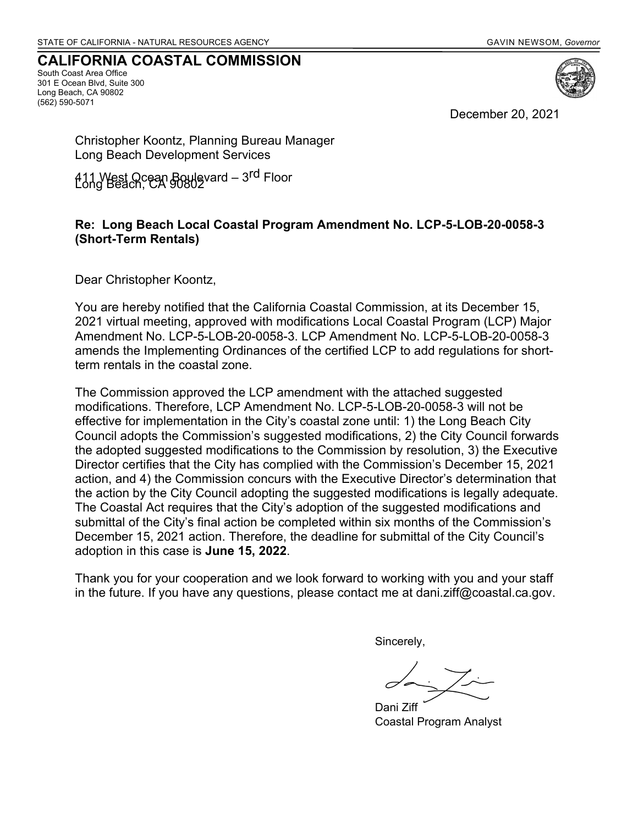#### **CALIFORNIA COASTAL COMMISSION**

South Coast Area Office 301 E Ocean Blvd, Suite 300 Long Beach, CA 90802 (562) 590-5071



December 20, 2021

Christopher Koontz, Planning Bureau Manager Long Beach Development Services

411 West Ocean Boulevard – 3<sup>rd</sup> Floor<br>Long Beach, CA 90802

#### **Re: Long Beach Local Coastal Program Amendment No. LCP-5-LOB-20-0058-3 (Short-Term Rentals)**

Dear Christopher Koontz,

You are hereby notified that the California Coastal Commission, at its December 15, 2021 virtual meeting, approved with modifications Local Coastal Program (LCP) Major Amendment No. LCP-5-LOB-20-0058-3. LCP Amendment No. LCP-5-LOB-20-0058-3 amends the Implementing Ordinances of the certified LCP to add regulations for shortterm rentals in the coastal zone.

The Commission approved the LCP amendment with the attached suggested modifications. Therefore, LCP Amendment No. LCP-5-LOB-20-0058-3 will not be effective for implementation in the City's coastal zone until: 1) the Long Beach City Council adopts the Commission's suggested modifications, 2) the City Council forwards the adopted suggested modifications to the Commission by resolution, 3) the Executive Director certifies that the City has complied with the Commission's December 15, 2021 action, and 4) the Commission concurs with the Executive Director's determination that the action by the City Council adopting the suggested modifications is legally adequate. The Coastal Act requires that the City's adoption of the suggested modifications and submittal of the City's final action be completed within six months of the Commission's December 15, 2021 action. Therefore, the deadline for submittal of the City Council's adoption in this case is **June 15, 2022**.

Thank you for your cooperation and we look forward to working with you and your staff in the future. If you have any questions, please contact me at dani.ziff@coastal.ca.gov.

Sincerely,

Dani Ziff Coastal Program Analyst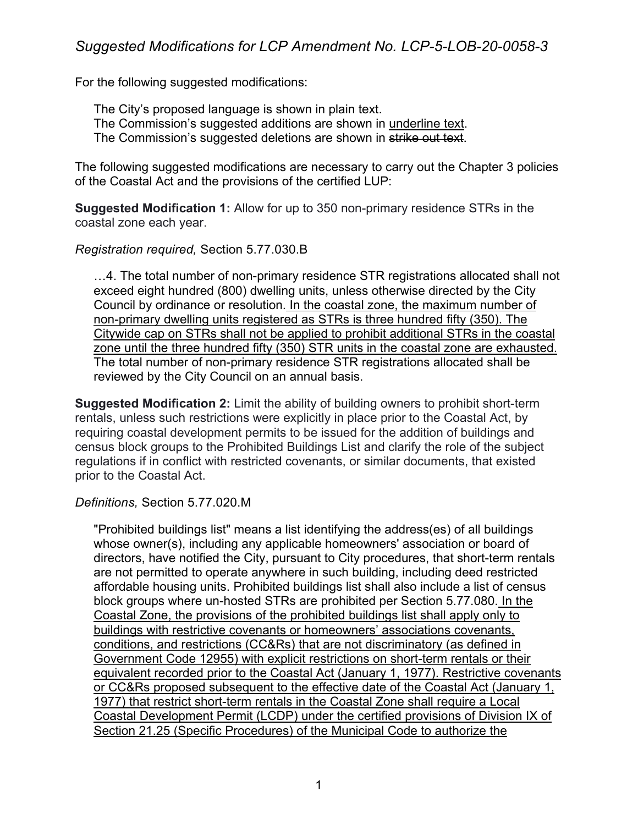For the following suggested modifications:

The City's proposed language is shown in plain text. The Commission's suggested additions are shown in underline text. The Commission's suggested deletions are shown in strike out text.

The following suggested modifications are necessary to carry out the Chapter 3 policies of the Coastal Act and the provisions of the certified LUP:

**Suggested Modification 1:** Allow for up to 350 non-primary residence STRs in the coastal zone each year.

## *Registration required,* Section 5.77.030.B

…4. The total number of non-primary residence STR registrations allocated shall not exceed eight hundred (800) dwelling units, unless otherwise directed by the City Council by ordinance or resolution. In the coastal zone, the maximum number of non-primary dwelling units registered as STRs is three hundred fifty (350). The Citywide cap on STRs shall not be applied to prohibit additional STRs in the coastal zone until the three hundred fifty (350) STR units in the coastal zone are exhausted. The total number of non-primary residence STR registrations allocated shall be reviewed by the City Council on an annual basis.

**Suggested Modification 2:** Limit the ability of building owners to prohibit short-term rentals, unless such restrictions were explicitly in place prior to the Coastal Act, by requiring coastal development permits to be issued for the addition of buildings and census block groups to the Prohibited Buildings List and clarify the role of the subject regulations if in conflict with restricted covenants, or similar documents, that existed prior to the Coastal Act.

## *Definitions,* Section 5.77.020.M

"Prohibited buildings list" means a list identifying the address(es) of all buildings whose owner(s), including any applicable homeowners' association or board of directors, have notified the City, pursuant to City procedures, that short-term rentals are not permitted to operate anywhere in such building, including deed restricted affordable housing units. Prohibited buildings list shall also include a list of census block groups where un-hosted STRs are prohibited per Section 5.77.080. In the Coastal Zone, the provisions of the prohibited buildings list shall apply only to buildings with restrictive covenants or homeowners' associations covenants, conditions, and restrictions (CC&Rs) that are not discriminatory (as defined in Government Code 12955) with explicit restrictions on short-term rentals or their equivalent recorded prior to the Coastal Act (January 1, 1977). Restrictive covenants or CC&Rs proposed subsequent to the effective date of the Coastal Act (January 1, 1977) that restrict short-term rentals in the Coastal Zone shall require a Local Coastal Development Permit (LCDP) under the certified provisions of Division IX of Section 21.25 (Specific Procedures) of the Municipal Code to authorize the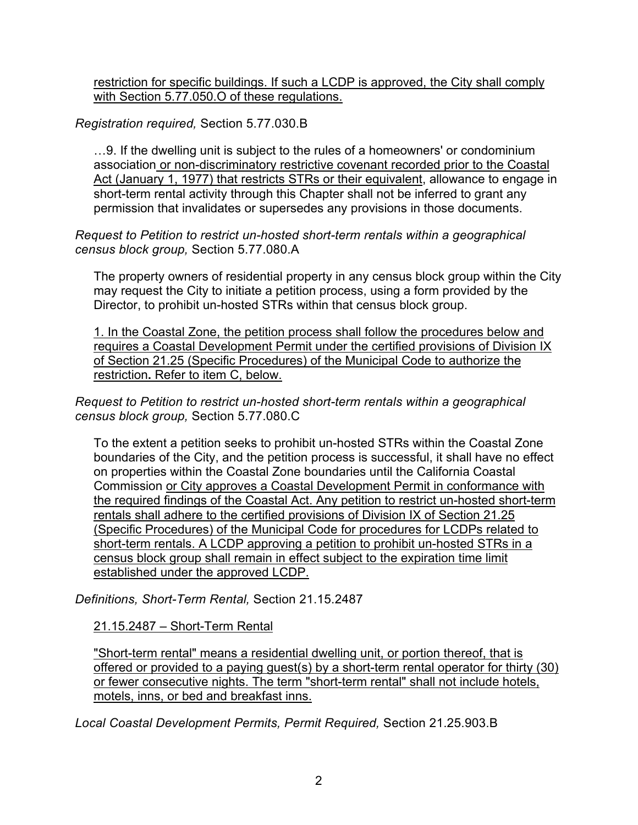restriction for specific buildings. If such a LCDP is approved, the City shall comply with Section 5.77.050.O of these regulations.

*Registration required,* Section 5.77.030.B

…9. If the dwelling unit is subject to the rules of a homeowners' or condominium association or non-discriminatory restrictive covenant recorded prior to the Coastal Act (January 1, 1977) that restricts STRs or their equivalent, allowance to engage in short-term rental activity through this Chapter shall not be inferred to grant any permission that invalidates or supersedes any provisions in those documents.

# *Request to Petition to restrict un-hosted short-term rentals within a geographical census block group,* Section 5.77.080.A

The property owners of residential property in any census block group within the City may request the City to initiate a petition process, using a form provided by the Director, to prohibit un-hosted STRs within that census block group.

1. In the Coastal Zone, the petition process shall follow the procedures below and requires a Coastal Development Permit under the certified provisions of Division IX of Section 21.25 (Specific Procedures) of the Municipal Code to authorize the restriction**.** Refer to item C, below.

*Request to Petition to restrict un-hosted short-term rentals within a geographical census block group,* Section 5.77.080.C

To the extent a petition seeks to prohibit un-hosted STRs within the Coastal Zone boundaries of the City, and the petition process is successful, it shall have no effect on properties within the Coastal Zone boundaries until the California Coastal Commission or City approves a Coastal Development Permit in conformance with the required findings of the Coastal Act. Any petition to restrict un-hosted short-term rentals shall adhere to the certified provisions of Division IX of Section 21.25 (Specific Procedures) of the Municipal Code for procedures for LCDPs related to short-term rentals. A LCDP approving a petition to prohibit un-hosted STRs in a census block group shall remain in effect subject to the expiration time limit established under the approved LCDP.

*Definitions, Short-Term Rental,* Section 21.15.2487

21.15.2487 – Short-Term Rental

"Short-term rental" means a residential dwelling unit, or portion thereof, that is offered or provided to a paying guest(s) by a short-term rental operator for thirty (30) or fewer consecutive nights. The term "short-term rental" shall not include hotels, motels, inns, or bed and breakfast inns.

*Local Coastal Development Permits, Permit Required,* Section 21.25.903.B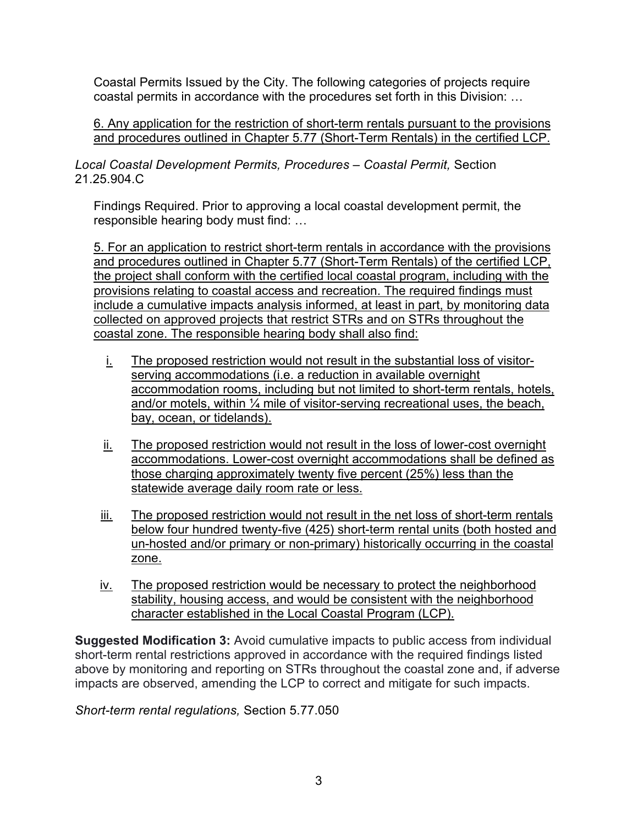Coastal Permits Issued by the City. The following categories of projects require coastal permits in accordance with the procedures set forth in this Division: …

6. Any application for the restriction of short-term rentals pursuant to the provisions and procedures outlined in Chapter 5.77 (Short-Term Rentals) in the certified LCP.

*Local Coastal Development Permits, Procedures – Coastal Permit,* Section 21.25.904.C

Findings Required. Prior to approving a local coastal development permit, the responsible hearing body must find: …

5. For an application to restrict short-term rentals in accordance with the provisions and procedures outlined in Chapter 5.77 (Short-Term Rentals) of the certified LCP, the project shall conform with the certified local coastal program, including with the provisions relating to coastal access and recreation. The required findings must include a cumulative impacts analysis informed, at least in part, by monitoring data collected on approved projects that restrict STRs and on STRs throughout the coastal zone. The responsible hearing body shall also find:

- i. The proposed restriction would not result in the substantial loss of visitorserving accommodations (i.e. a reduction in available overnight accommodation rooms, including but not limited to short-term rentals, hotels, and/or motels, within  $\frac{1}{4}$  mile of visitor-serving recreational uses, the beach, bay, ocean, or tidelands).
- ii. The proposed restriction would not result in the loss of lower-cost overnight accommodations. Lower-cost overnight accommodations shall be defined as those charging approximately twenty five percent (25%) less than the statewide average daily room rate or less.
- iii. The proposed restriction would not result in the net loss of short-term rentals below four hundred twenty-five (425) short-term rental units (both hosted and un-hosted and/or primary or non-primary) historically occurring in the coastal zone.
- iv. The proposed restriction would be necessary to protect the neighborhood stability, housing access, and would be consistent with the neighborhood character established in the Local Coastal Program (LCP).

**Suggested Modification 3:** Avoid cumulative impacts to public access from individual short-term rental restrictions approved in accordance with the required findings listed above by monitoring and reporting on STRs throughout the coastal zone and, if adverse impacts are observed, amending the LCP to correct and mitigate for such impacts.

*Short-term rental regulations,* Section 5.77.050